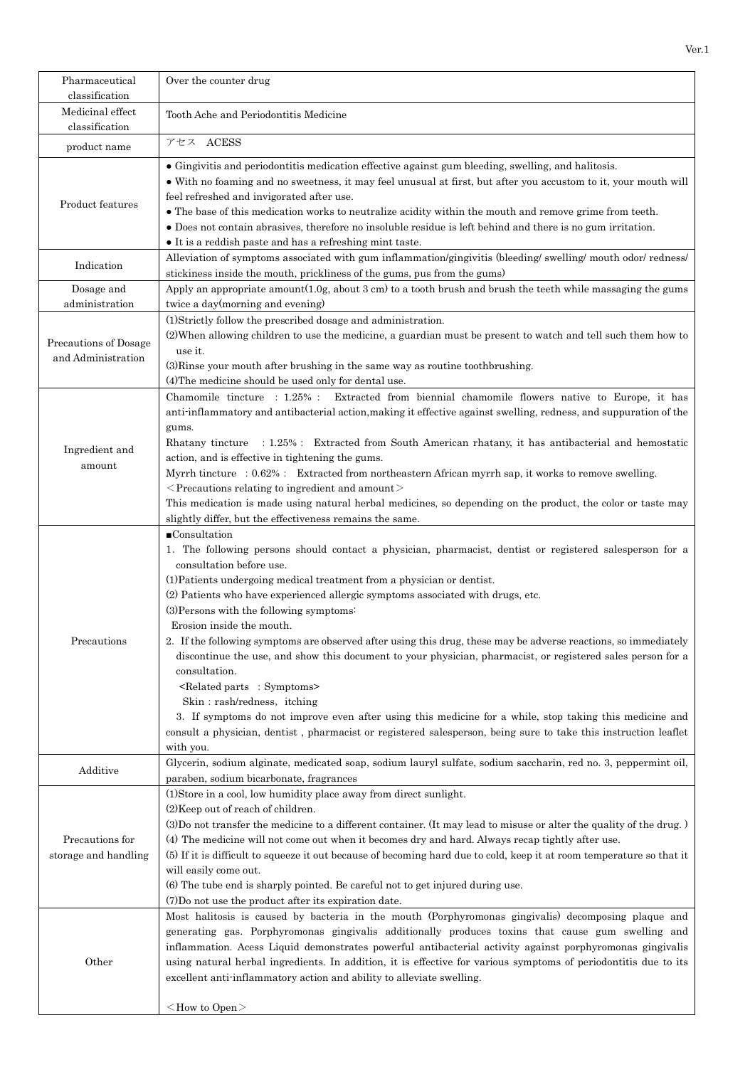| Pharmaceutical<br>classification            | Over the counter drug                                                                                                                                                                                                                                                                                                                                                                                                                                                                                                                                                                                                                                                                                                                                                                                                                                                                                                                                                                       |
|---------------------------------------------|---------------------------------------------------------------------------------------------------------------------------------------------------------------------------------------------------------------------------------------------------------------------------------------------------------------------------------------------------------------------------------------------------------------------------------------------------------------------------------------------------------------------------------------------------------------------------------------------------------------------------------------------------------------------------------------------------------------------------------------------------------------------------------------------------------------------------------------------------------------------------------------------------------------------------------------------------------------------------------------------|
| Medicinal effect<br>classification          | Tooth Ache and Periodontitis Medicine                                                                                                                                                                                                                                                                                                                                                                                                                                                                                                                                                                                                                                                                                                                                                                                                                                                                                                                                                       |
| product name                                | アセス ACESS                                                                                                                                                                                                                                                                                                                                                                                                                                                                                                                                                                                                                                                                                                                                                                                                                                                                                                                                                                                   |
| Product features                            | • Gingivitis and periodontitis medication effective against gum bleeding, swelling, and halitosis.<br>• With no foaming and no sweetness, it may feel unusual at first, but after you accustom to it, your mouth will<br>feel refreshed and invigorated after use.<br>• The base of this medication works to neutralize acidity within the mouth and remove grime from teeth.<br>• Does not contain abrasives, therefore no insoluble residue is left behind and there is no gum irritation.<br>• It is a reddish paste and has a refreshing mint taste.                                                                                                                                                                                                                                                                                                                                                                                                                                    |
| Indication                                  | Alleviation of symptoms associated with gum inflammation/gingivitis (bleeding/ swelling/ mouth odor/ redness/<br>stickiness inside the mouth, prickliness of the gums, pus from the gums)                                                                                                                                                                                                                                                                                                                                                                                                                                                                                                                                                                                                                                                                                                                                                                                                   |
| Dosage and<br>administration                | Apply an appropriate amount $(1.0g)$ , about 3 cm) to a tooth brush and brush the teeth while massaging the gums<br>twice a day(morning and evening)                                                                                                                                                                                                                                                                                                                                                                                                                                                                                                                                                                                                                                                                                                                                                                                                                                        |
| Precautions of Dosage<br>and Administration | (1)Strictly follow the prescribed dosage and administration.<br>(2) When allowing children to use the medicine, a guardian must be present to watch and tell such them how to<br>use it.<br>(3) Rinse your mouth after brushing in the same way as routine toothbrushing.<br>(4) The medicine should be used only for dental use.                                                                                                                                                                                                                                                                                                                                                                                                                                                                                                                                                                                                                                                           |
| Ingredient and<br>amount                    | Chamomile tincture : 1.25% : Extracted from biennial chamomile flowers native to Europe, it has<br>anti-inflammatory and antibacterial action, making it effective against swelling, redness, and suppuration of the<br>gums.<br>Rhatany tincture : 1.25% : Extracted from South American rhatany, it has antibacterial and hemostatic<br>action, and is effective in tightening the gums.<br>Myrrh tincture : 0.62% : Extracted from northeastern African myrrh sap, it works to remove swelling.<br>$\leq$ Precautions relating to ingredient and amount $\geq$<br>This medication is made using natural herbal medicines, so depending on the product, the color or taste may<br>slightly differ, but the effectiveness remains the same.                                                                                                                                                                                                                                                |
| Precautions                                 | $\blacksquare$ Consultation<br>1. The following persons should contact a physician, pharmacist, dentist or registered salesperson for a<br>consultation before use.<br>(1) Patients undergoing medical treatment from a physician or dentist.<br>(2) Patients who have experienced allergic symptoms associated with drugs, etc.<br>(3) Persons with the following symptoms:<br>Erosion inside the mouth.<br>2. If the following symptoms are observed after using this drug, these may be adverse reactions, so immediately<br>discontinue the use, and show this document to your physician, pharmacist, or registered sales person for a<br>consultation.<br><related :="" parts="" symptoms=""><br/>Skin: rash/redness, itching<br/>3. If symptoms do not improve even after using this medicine for a while, stop taking this medicine and<br/>consult a physician, dentist, pharmacist or registered salesperson, being sure to take this instruction leaflet<br/>with you.</related> |
| Additive                                    | Glycerin, sodium alginate, medicated soap, sodium lauryl sulfate, sodium saccharin, red no. 3, peppermint oil,<br>paraben, sodium bicarbonate, fragrances                                                                                                                                                                                                                                                                                                                                                                                                                                                                                                                                                                                                                                                                                                                                                                                                                                   |
| Precautions for<br>storage and handling     | (1) Store in a cool, low humidity place away from direct sunlight.<br>(2) Keep out of reach of children.<br>(3) Do not transfer the medicine to a different container. (It may lead to misuse or alter the quality of the drug.)<br>(4) The medicine will not come out when it becomes dry and hard. Always recap tightly after use.<br>(5) If it is difficult to squeeze it out because of becoming hard due to cold, keep it at room temperature so that it<br>will easily come out.<br>(6) The tube end is sharply pointed. Be careful not to get injured during use.<br>(7) Do not use the product after its expiration date.                                                                                                                                                                                                                                                                                                                                                           |
| Other                                       | Most halitosis is caused by bacteria in the mouth (Porphyromonas gingivalis) decomposing plaque and<br>generating gas. Porphyromonas gingivalis additionally produces toxins that cause gum swelling and<br>inflammation. Acess Liquid demonstrates powerful antibacterial activity against porphyromonas gingivalis<br>using natural herbal ingredients. In addition, it is effective for various symptoms of periodontitis due to its<br>excellent anti-inflammatory action and ability to alleviate swelling.<br>$<$ How to Open $>$                                                                                                                                                                                                                                                                                                                                                                                                                                                     |